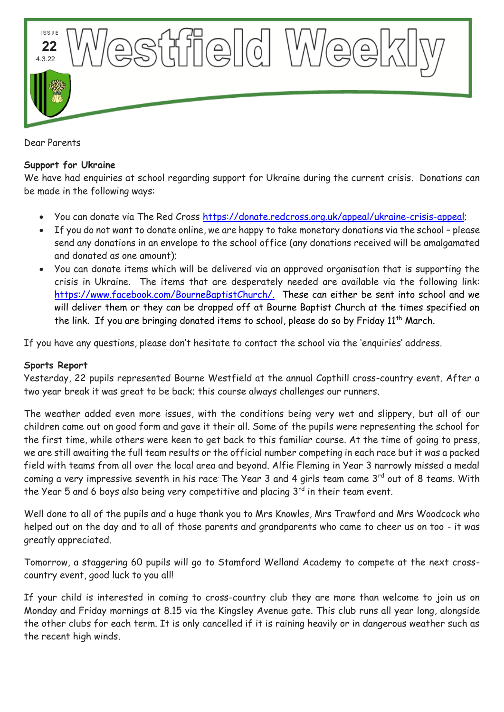

Dear Parents

## **Support for Ukraine**

We have had enquiries at school regarding support for Ukraine during the current crisis. Donations can be made in the following ways:

- You can donate via The Red Cross [https://donate.redcross.org.uk/appeal/ukraine-crisis-appeal;](https://donate.redcross.org.uk/appeal/ukraine-crisis-appeal)
- If you do not want to donate online, we are happy to take monetary donations via the school please send any donations in an envelope to the school office (any donations received will be amalgamated and donated as one amount);
- You can donate items which will be delivered via an approved organisation that is supporting the crisis in Ukraine. The items that are desperately needed are available via the following link: [https://www.facebook.com/BourneBaptistChurch/.](https://www.facebook.com/BourneBaptistChurch/) These can either be sent into school and we will deliver them or they can be dropped off at Bourne Baptist Church at the times specified on the link. If you are bringing donated items to school, please do so by Friday  $11<sup>th</sup>$  March.

If you have any questions, please don't hesitate to contact the school via the 'enquiries' address.

## **Sports Report**

Yesterday, 22 pupils represented Bourne Westfield at the annual Copthill cross-country event. After a two year break it was great to be back; this course always challenges our runners.

The weather added even more issues, with the conditions being very wet and slippery, but all of our children came out on good form and gave it their all. Some of the pupils were representing the school for the first time, while others were keen to get back to this familiar course. At the time of going to press, we are still awaiting the full team results or the official number competing in each race but it was a packed field with teams from all over the local area and beyond. Alfie Fleming in Year 3 narrowly missed a medal coming a very impressive seventh in his race. The Year 3 and 4 girls team came  $3<sup>rd</sup>$  out of 8 teams. With the Year 5 and 6 boys also being very competitive and placing  $3<sup>rd</sup>$  in their team event.

Well done to all of the pupils and a huge thank you to Mrs Knowles, Mrs Trawford and Mrs Woodcock who helped out on the day and to all of those parents and grandparents who came to cheer us on too - it was greatly appreciated.

Tomorrow, a staggering 60 pupils will go to Stamford Welland Academy to compete at the next crosscountry event, good luck to you all!

If your child is interested in coming to cross-country club they are more than welcome to join us on Monday and Friday mornings at 8.15 via the Kingsley Avenue gate. This club runs all year long, alongside the other clubs for each term. It is only cancelled if it is raining heavily or in dangerous weather such as the recent high winds.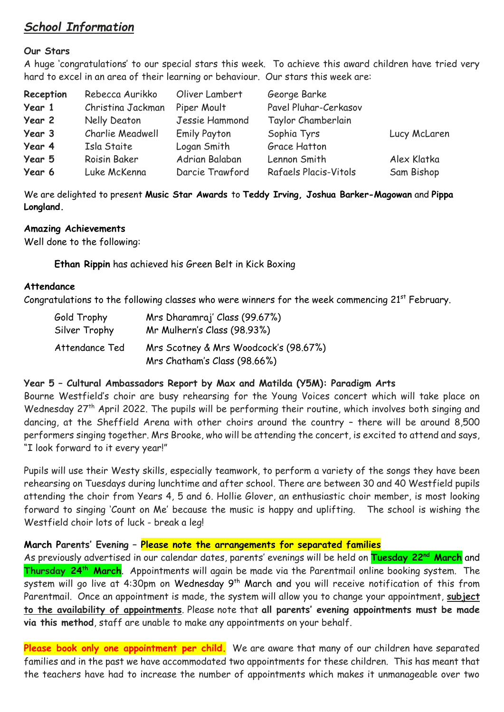# *School Information*

#### **Our Stars**

A huge 'congratulations' to our special stars this week. To achieve this award children have tried very hard to excel in an area of their learning or behaviour. Our stars this week are:

| Reception | Rebecca Aurikko   | Oliver Lambert      | George Barke          |              |
|-----------|-------------------|---------------------|-----------------------|--------------|
| Year 1    | Christina Jackman | Piper Moult         | Pavel Pluhar-Cerkasov |              |
| Year 2    | Nelly Deaton      | Jessie Hammond      | Taylor Chamberlain    |              |
| Year 3    | Charlie Meadwell  | <b>Emily Payton</b> | Sophia Tyrs           | Lucy McLaren |
| Year 4    | Isla Staite       | Logan Smith         | <b>Grace Hatton</b>   |              |
| Year 5    | Roisin Baker      | Adrian Balaban      | Lennon Smith          | Alex Klatka  |
| Year 6    | Luke McKenna      | Darcie Trawford     | Rafaels Placis-Vitols | Sam Bishop   |

We are delighted to present **Music Star Awards** to **Teddy Irving, Joshua Barker-Magowan** and **Pippa Longland.**

#### **Amazing Achievements**

Well done to the following:

**Ethan Rippin** has achieved his Green Belt in Kick Boxing

#### **Attendance**

Congratulations to the following classes who were winners for the week commencing  $21<sup>st</sup>$  February.

| Gold Trophy    | Mrs Dharamraj' Class (99.67%)         |  |  |
|----------------|---------------------------------------|--|--|
| Silver Trophy  | Mr Mulhern's Class (98.93%)           |  |  |
| Attendance Ted | Mrs Scotney & Mrs Woodcock's (98.67%) |  |  |
|                | Mrs Chatham's Class (98.66%)          |  |  |

## **Year 5 – Cultural Ambassadors Report by Max and Matilda (Y5M): Paradigm Arts**

Bourne Westfield's choir are busy rehearsing for the Young Voices concert which will take place on Wednesday 27<sup>th</sup> April 2022. The pupils will be performing their routine, which involves both singing and dancing, at the Sheffield Arena with other choirs around the country – there will be around 8,500 performers singing together. Mrs Brooke, who will be attending the concert, is excited to attend and says, "I look forward to it every year!"

Pupils will use their Westy skills, especially teamwork, to perform a variety of the songs they have been rehearsing on Tuesdays during lunchtime and after school. There are between 30 and 40 Westfield pupils attending the choir from Years 4, 5 and 6. Hollie Glover, an enthusiastic choir member, is most looking forward to singing 'Count on Me' because the music is happy and uplifting. The school is wishing the Westfield choir lots of luck - break a leg!

## **March Parents' Evening – Please note the arrangements for separated families**

As previously advertised in our calendar dates, parents' evenings will be held on **Tuesday 22nd March** and **Thursday 24th March**. Appointments will again be made via the Parentmail online booking system. The system will go live at 4:30pm on Wednesday 9<sup>th</sup> March and you will receive notification of this from Parentmail. Once an appointment is made, the system will allow you to change your appointment, **subject to the availability of appointments**. Please note that **all parents' evening appointments must be made via this method**, staff are unable to make any appointments on your behalf.

Please book only one appointment per child. We are aware that many of our children have separated families and in the past we have accommodated two appointments for these children. This has meant that the teachers have had to increase the number of appointments which makes it unmanageable over two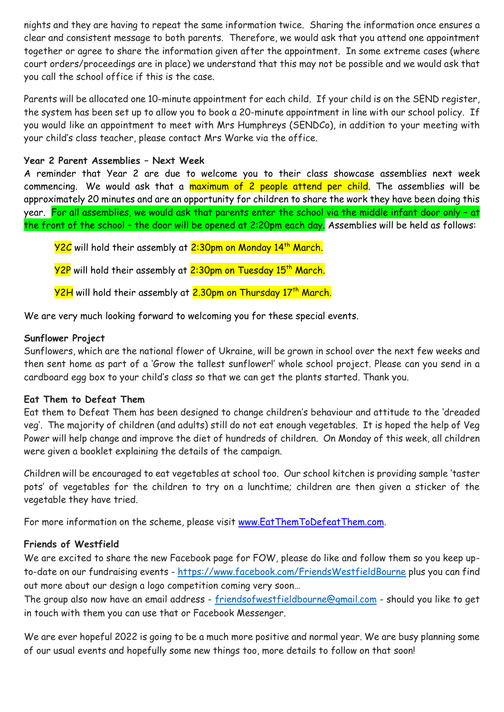nights and they are having to repeat the same information twice. Sharing the information once ensures a clear and consistent message to both parents. Therefore, we would ask that you attend one appointment together or agree to share the information given after the appointment. In some extreme cases (where court orders/proceedings are in place) we understand that this may not be possible and we would ask that you call the school office if this is the case.

Parents will be allocated one 10-minute appointment for each child. If your child is on the SEND register, the system has been set up to allow you to book a 20-minute appointment in line with our school policy. If you would like an appointment to meet with Mrs Humphreys (SENDCo), in addition to your meeting with your child's class teacher, please contact Mrs Warke via the office.

## **Year 2 Parent Assemblies – Next Week**

A reminder that Year 2 are due to welcome you to their class showcase assemblies next week commencing. We would ask that a maximum of 2 people attend per child. The assemblies will be approximately 20 minutes and are an opportunity for children to share the work they have been doing this year. For all assemblies, we would ask that parents enter the school via the middle infant door only - at the front of the school - the door will be opened at 2:20pm each day. Assemblies will be held as follows:

Y2C will hold their assembly at 2:30pm on Monday 14th March.

**Y2P** will hold their assembly at 2:30pm on Tuesday 15<sup>th</sup> March.

<mark>Y2H</mark> will hold their assembly at <mark>2.30pm on Thursday 17th March.</mark>

We are very much looking forward to welcoming you for these special events.

# **Sunflower Project**

Sunflowers, which are the national flower of Ukraine, will be grown in school over the next few weeks and then sent home as part of a 'Grow the tallest sunflower!' whole school project. Please can you send in a cardboard egg box to your child's class so that we can get the plants started. Thank you.

# **Eat Them to Defeat Them**

Eat them to Defeat Them has been designed to change children's behaviour and attitude to the 'dreaded veg'. The majority of children (and adults) still do not eat enough vegetables. It is hoped the help of Veg Power will help change and improve the diet of hundreds of children. On Monday of this week, all children were given a booklet explaining the details of the campaign.

Children will be encouraged to eat vegetables at school too. Our school kitchen is providing sample 'taster pots' of vegetables for the children to try on a lunchtime; children are then given a sticker of the vegetable they have tried.

For more information on the scheme, please visit [www.EatThemToDefeatThem.com.](http://www.eatthemtodefeatthem.com/)

# **Friends of Westfield**

We are excited to share the new Facebook page for FOW, please do like and follow them so you keep upto-date on our fundraising events - <https://www.facebook.com/FriendsWestfieldBourne> plus you can find out more about our design a logo competition coming very soon…

The group also now have an email address - [friendsofwestfieldbourne@gmail.com](mailto:friendsofwestfieldbourne@gmail.com) - should you like to get in touch with them you can use that or Facebook Messenger.

We are ever hopeful 2022 is going to be a much more positive and normal year. We are busy planning some of our usual events and hopefully some new things too, more details to follow on that soon!